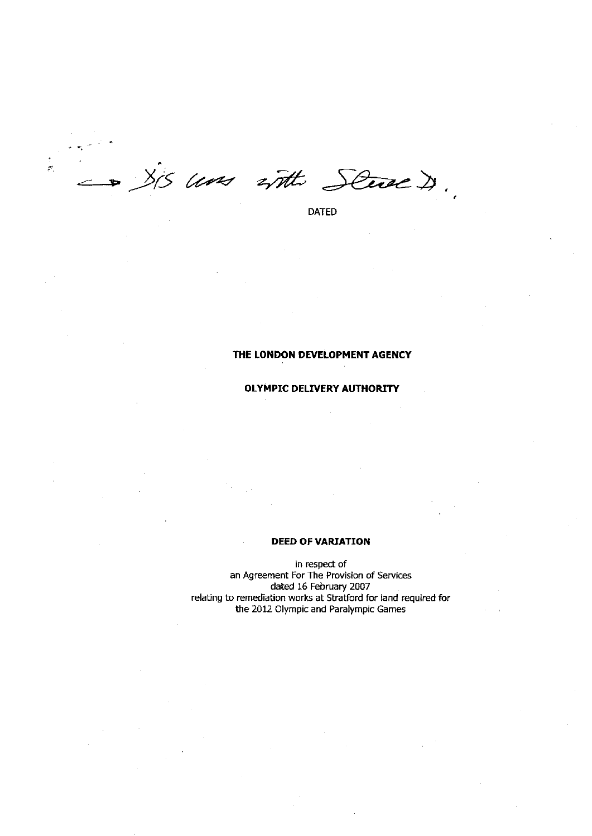$\cdot$  $\frac{1}{2}$ 815 com with Stue

DATED

# **THE LONDON DEVELOPMENT AGENCY**

# **OLYMPIC DELIVERY AUTHORITY**

## **DEED OF VARIATION**

in respect of an Agreement For The Provision of Services dated 16 February 2007 relating to remediation works at Stratford for land required for the 2012 Olympic and Paralympic Games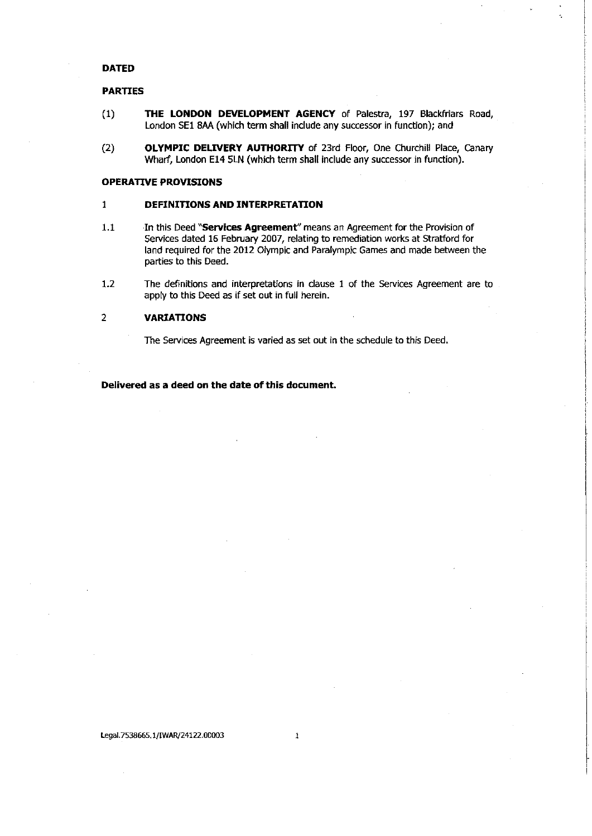# **DATED**

# **PARTIES**

- (1) **THE LONDON DEVELOPMENT AGENCY** of Palestra, 197 Blackfriars Road, London SE1 8AA (which term shall include any successor in function); and
- (2) **OLYMPIC DELIVERY AUTHORITY** of 23rd Floor, One Churchill Place, Canary Wharf, London E14 5LN (which term shall include any successor in function).

## **OPERATIVE PROVISIONS**

## 1 **DEFINITIONS AND INTERPRETATION**

- 1.1 In this Deed **"Services Agreement"** means an Agreement for the Provision of Services dated 16 February 2007, relating to remediation works at Stratford for land required for the 2012 Olympic and Paralympic Games and made between the parties to this Deed.
- 1.2 The definitions and interpretations in clause 1 of the Services Agreement are to apply to this Deed as if set out in full herein.

# 2 **VARIATIONS**

The Services Agreement is varied as set out in the schedule to this Deed.

**Delivered as a deed on the date of this document.**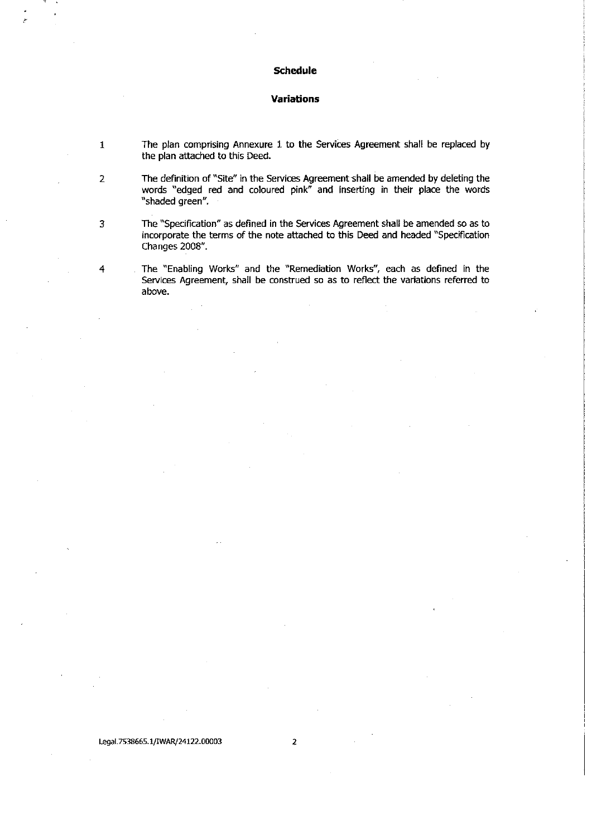# **Schedule**

## **Variations**

- 1 The plan comprising Annexure 1 to the Services Agreement shall be replaced by the plan attached to this Deed.
- 2 The definition of "Site" in the Services Agreement shall be amended by deleting the words "edged red and coloured pink" and inserting in their place the words "shaded green".

3 The "Specification" as defined in the Services Agreement shall be amended so as to incorporate the terms of the note attached to this Deed and headed "Specification Changes 2008".

4 The "Enabling Works" and the "Remediation Works", each as defined in the Services Agreement, shall be construed so as to reflect the variations referred to above.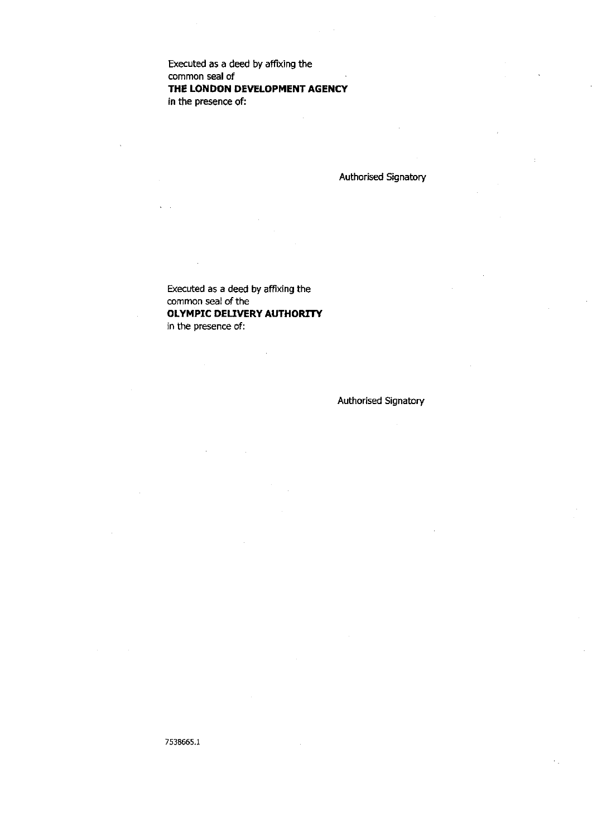Executed as a deed by affixing the common seal of **THE LONDON DEVELOPMENT AGENCY**  in the presence of:

Authorised Signatory

Executed as a deed by affixing the common seal of the **OLYMPIC DELIVERY AUTHORITY**  in the presence of:

# Authorised Signatory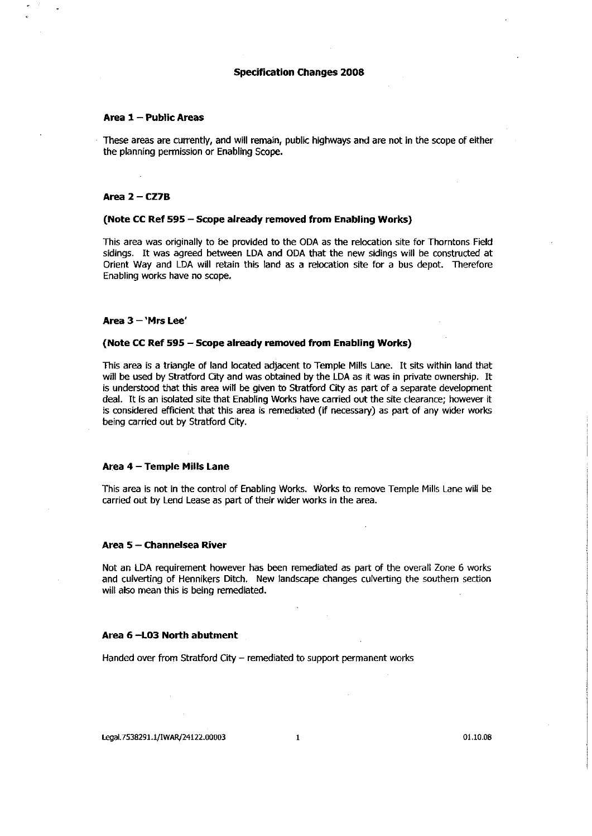## **Specification Changes 2008**

## **Area 1 - Public Areas**

These areas are currently, and will remain, public highways and are not in the scope of either the planning permission or Enabling Scope.

#### **Area 2 - CZ7B**

#### **(Note CC Ref 595 - Scope already removed from Enabling Works)**

This area was originally to be provided to the ODA as the relocation site for Thorntons Field sidings. It was agreed between LDA and ODA that the new sidings will be constructed at Orient Way and LDA will retain this land as a relocation site for a bus depot. Therefore Enabling works have no scope.

## **Area 3 - 'Mrs Lee'**

#### **(Note CC Ref 595 - Scope already removed from Enabling Works)**

This area is a triangle of land located adjacent to Temple Mills Lane. It sits within land that will be used by Stratford City and was obtained by the LDA as it was in private ownership. It is understood that this area will be given to Stratford City as part of a separate development deal. It is an isolated site that Enabling Works have carried out the site clearance; however it is considered efficient that this area is remediated (if necessary) as part of any wider works being carried out by Stratford City.

## **Area 4 - Temple Mills Lane**

This area is not in the control of Enabling Works. Works to remove Temple Mills Lane will be carried out by Lend Lease as part of their wider works in the area.

#### **Area 5 - Channelsea River**

Not an LDA requirement however has been remediated as part of the overall Zone 6 works and culverting of Hennikers Ditch. New landscape changes culverting the southern section will also mean this is being remediated.

#### **Area 6 -L03 North abutment**

Handed over from Stratford City - remediated to support permanent works

**Legal.7538291.1/IWAR/24122.00003** 1 01.10.08 **1** 01.10.08